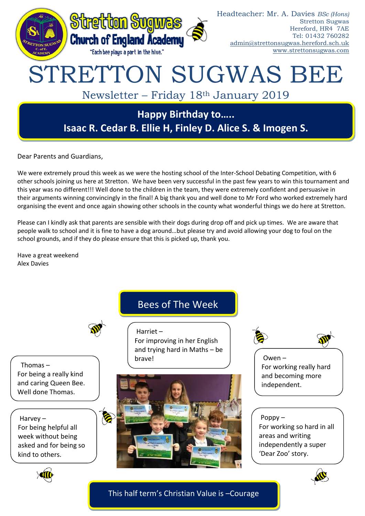

Dear Parents and Guardians,

We were extremely proud this week as we were the hosting school of the Inter-School Debating Competition, with 6 other schools joining us here at Stretton. We have been very successful in the past few years to win this tournament and this year was no different!!! Well done to the children in the team, they were extremely confident and persuasive in their arguments winning convincingly in the final! A big thank you and well done to Mr Ford who worked extremely hard organising the event and once again showing other schools in the county what wonderful things we do here at Stretton.

Please can I kindly ask that parents are sensible with their dogs during drop off and pick up times. We are aware that people walk to school and it is fine to have a dog around…but please try and avoid allowing your dog to foul on the school grounds, and if they do please ensure that this is picked up, thank you.

Have a great weekend Alex Davies



For improving in her English and trying hard in Maths – be

Harriet –

Thomas – For being a really kind and caring Queen Bee. Well done Thomas.

Harvey – For being helpful all week without being asked and for being so kind to others.

Ø

# brave!





For working really hard and becoming more independent.

### Poppy –

For working so hard in all areas and writing independently a super 'Dear Zoo' story.





This half term's Christian Value is –Courage